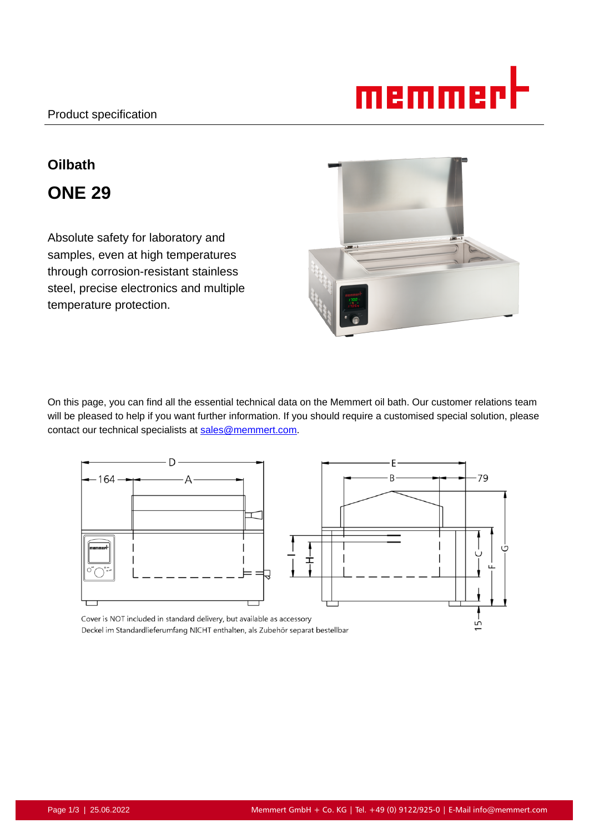

# **Oilbath ONE 29**

Absolute safety for laboratory and samples, even at high temperatures through corrosion-resistant stainless steel, precise electronics and multiple temperature protection.



On this page, you can find all the essential technical data on the Memmert oil bath. Our customer relations team will be pleased to help if you want further information. If you should require a customised special solution, please contact our technical specialists at sales@memmert.com.



Cover is NOT included in standard delivery, but available as accessory Deckel im Standardlieferumfang NICHT enthalten, als Zubehör separat bestellbar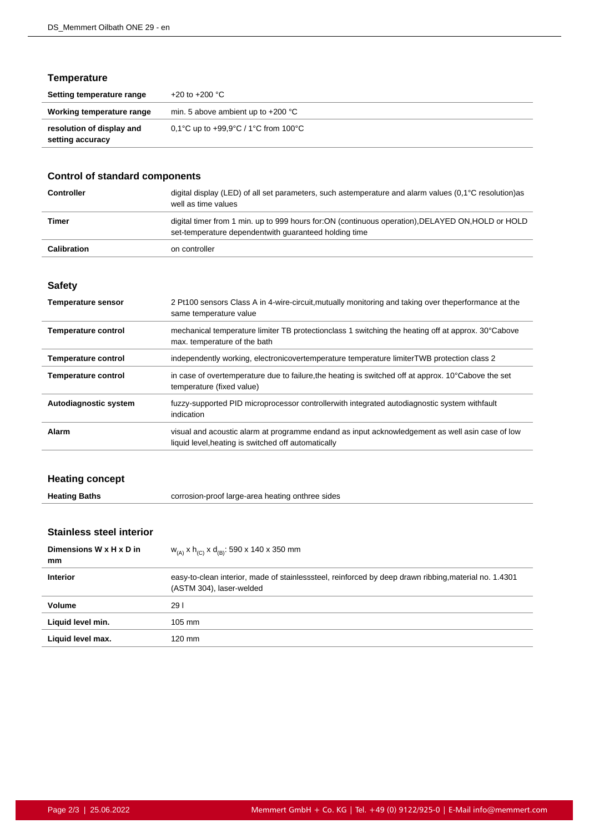# **Temperature**

| Setting temperature range                     | +20 to +200 $^{\circ}$ C                |
|-----------------------------------------------|-----------------------------------------|
| Working temperature range                     | min. 5 above ambient up to $+200$ °C    |
| resolution of display and<br>setting accuracy | 0.1°C up to $+99.9$ °C / 1°C from 100°C |

# **Control of standard components**

| <b>Controller</b>  | digital display (LED) of all set parameters, such astemperature and alarm values $(0,1^{\circ}C \text{ resolution})$ as<br>well as time values               |
|--------------------|--------------------------------------------------------------------------------------------------------------------------------------------------------------|
| Timer              | digital timer from 1 min. up to 999 hours for: ON (continuous operation), DELAYED ON, HOLD or HOLD<br>set-temperature dependent with quaranteed holding time |
| <b>Calibration</b> | on controller                                                                                                                                                |

#### **Safety**

| <b>Temperature sensor</b>  | 2 Pt100 sensors Class A in 4-wire-circuit, mutually monitoring and taking over theperformance at the<br>same temperature value                          |
|----------------------------|---------------------------------------------------------------------------------------------------------------------------------------------------------|
| Temperature control        | mechanical temperature limiter TB protectionclass 1 switching the heating off at approx. 30°Cabove<br>max. temperature of the bath                      |
| <b>Temperature control</b> | independently working, electronicovertemperature temperature limiterTWB protection class 2                                                              |
| <b>Temperature control</b> | in case of overtemperature due to failure, the heating is switched off at approx. 10°Cabove the set<br>temperature (fixed value)                        |
| Autodiagnostic system      | fuzzy-supported PID microprocessor controllerwith integrated autodiagnostic system withfault<br>indication                                              |
| Alarm                      | visual and acoustic alarm at programme endand as input acknowledgement as well as in case of low<br>liquid level, heating is switched off automatically |

# **Heating concept**

| <b>Heating Baths</b> | corrosion-proof large-area heating onthree sides |
|----------------------|--------------------------------------------------|
|                      |                                                  |

# **Stainless steel interior**

| Dimensions W x H x D in<br>mm | $W_{(A)}$ x h <sub>(C)</sub> x d <sub>(B)</sub> : 590 x 140 x 350 mm                                                              |
|-------------------------------|-----------------------------------------------------------------------------------------------------------------------------------|
| <b>Interior</b>               | easy-to-clean interior, made of stainlesssteel, reinforced by deep drawn ribbing, material no. 1.4301<br>(ASTM 304), laser-welded |
| Volume                        | 291                                                                                                                               |
| Liquid level min.             | $105 \text{ mm}$                                                                                                                  |
| Liquid level max.             | 120 mm                                                                                                                            |